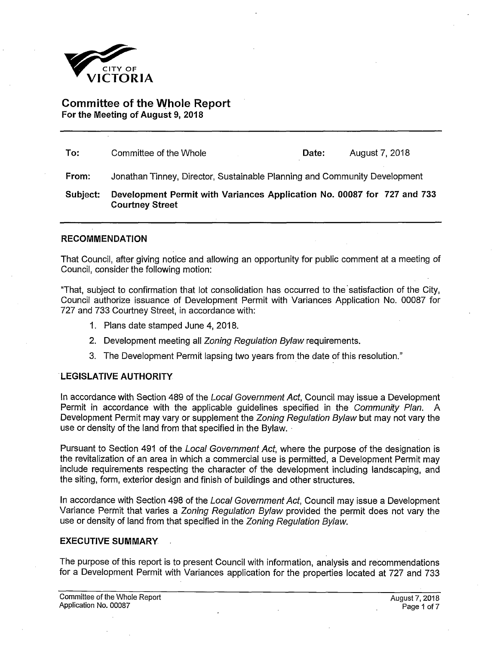

**Committee of the Whole Report For the Meeting of August 9, 2018** 

| To:      | Committee of the Whole                                                                            | Date: | August 7, 2018 |  |
|----------|---------------------------------------------------------------------------------------------------|-------|----------------|--|
| From:    | Jonathan Tinney, Director, Sustainable Planning and Community Development                         |       |                |  |
| Subject: | Development Permit with Variances Application No. 00087 for 727 and 733<br><b>Courtney Street</b> |       |                |  |

### **RECOMMENDATION**

That Council, after giving notice and allowing an opportunity for public comment at a meeting of Council, consider the following motion:

"That, subject to confirmation that lot consolidation has occurred to the satisfaction of the City, Council authorize issuance of Development Permit with Variances Application No. 00087 for 727 and 733 Courtney Street, in accordance with:

- 1. Plans date stamped June 4, 2018.
- 2. Development meeting all *Zoning Regulation Bylaw* requirements.
- 3. The Development Permit lapsing two years from the date of this resolution."

#### **LEGISLATIVE AUTHORITY**

In accordance with Section 489 of the *Local Government Act,* Council may issue a Development Permit in accordance with the applicable guidelines specified in the *Community Plan.* A Development Permit may vary or supplement the *Zoning Regulation Bylaw* but may not vary the use or density of the land from that specified in the Bylaw.

Pursuant to Section 491 of the *Local Government Act,* where the purpose of the designation is the revitalization of an area in which a commercial use is permitted, a Development Permit may include requirements respecting the character of the development including landscaping, and the siting, form, exterior design and finish of buildings and other structures.

In accordance with Section 498 of the *Local Government Act,* Council may issue a Development Variance Permit that varies a *Zoning Regulation Bylaw* provided the permit does not vary the use or density of land from that specified in the *Zoning Regulation Bylaw.* 

#### **EXECUTIVE SUMMARY**

The purpose of this report is to present Council with information, analysis and recommendations for a Development Permit with Variances application for the properties located at 727 and 733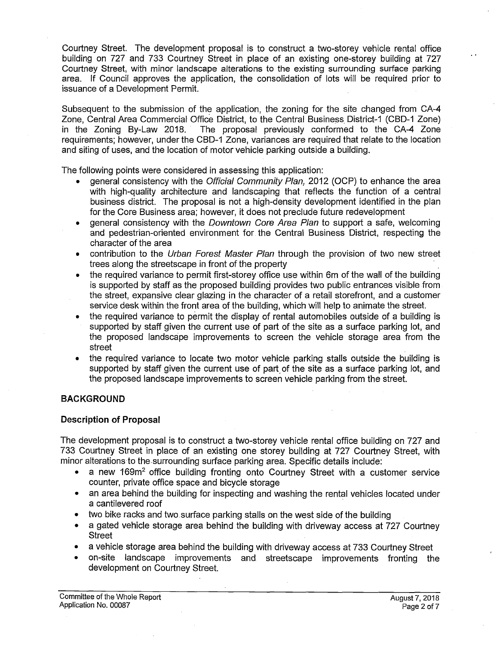Courtney Street. The development proposal is to construct a two-storey vehicle rental office building on 727 and 733 Courtney Street in place of an existing one-storey building at 727 Courtney Street, with minor landscape alterations to the existing surrounding surface parking area. If Council approves the application, the consolidation of lots will be required prior to issuance of a Development Permit.

Subsequent to the submission of the application, the zoning for the site changed from CA-4 Zone, Central Area Commercial Office District, to the Central Business District-1 (CBD-1 Zone) The proposal previously conformed to the CA-4 Zone requirements; however, under the CBD-1 Zone, variances are required that relate to the location and siting of uses, and the location of motor vehicle parking outside a building.

The following points were considered in assessing this application:

- general consistency with the *Official Community Plan,* 2012 (OCP) to enhance the area with high-quality architecture and landscaping that reflects the function of a central business district. The proposal is not a high-density development identified in the plan for the Core Business area; however, it does not preclude future redevelopment
- general consistency with the *Downtown Core Area Plan* to support a safe, welcoming and pedestrian-oriented environment for the Central Business District, respecting the character of the area
- contribution to the *Urban Forest Master Plan* through the provision of two new street trees along the streetscape in front of the property
- the required variance to permit first-storey office use within 6m of the wall of the building is supported by staff as the proposed building provides two public entrances visible from the street, expansive clear glazing in the character of a retail storefront, and a customer service desk within the front area of the building, which will help to animate the street.
- the required variance to permit the display of rental automobiles outside of a building is supported by staff given the current use of part of the site as a surface parking lot, and the proposed landscape improvements to screen the vehicle storage area from the street
- the required variance to locate two motor vehicle parking stalls outside the building is supported by staff given the current use of part of the site as a surface parking lot, and the proposed landscape improvements to screen vehicle parking from the street.

## **BACKGROUND**

## **Description of Proposal**

The development proposal is to construct a two-storey vehicle rental office building on 727 and 733 Courtney Street in place of an existing one storey building at 727 Courtney Street, with minor alterations to the surrounding surface parking area. Specific details include:

- a new 169m<sup>2</sup> office building fronting onto Courtney Street with a customer service counter, private office space and bicycle storage
- an area behind the building for inspecting and washing the rental vehicles located under a cantilevered roof
- two bike racks and two.surface parking stalls on the west side of the building
- a gated vehicle storage area behind the building with driveway access at 727 Courtney **Street**
- a vehicle storage area behind the building with driveway access at 733 Courtney Street
- on-site landscape improvements and streetscape improvements fronting the development on Courtney Street.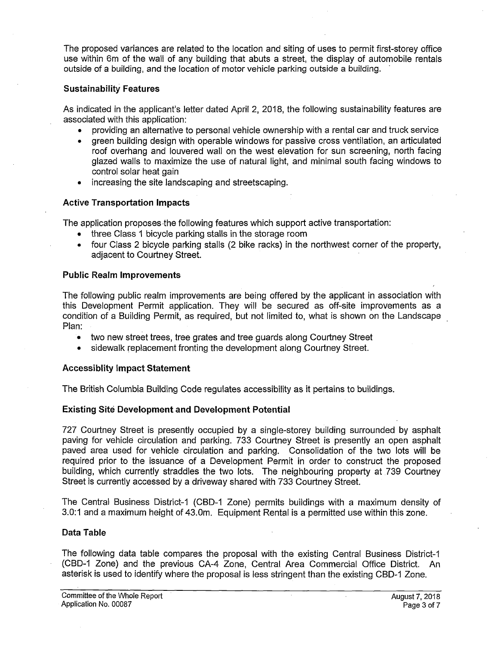The proposed variances are related to the location and siting of uses to permit first-storey office use within 6m of the wall of any building that abuts a street, the display of automobile rentals outside of a building, and the location of motor vehicle parking outside a building.

### **Sustainability Features**

As indicated in the applicant's letter dated April 2, 2018, the following sustainability features are associated with this application:

- providing an alternative to personal vehicle ownership with a rental car and truck service
- green building design with operable windows for passive cross ventilation, an articulated roof overhang and louvered wall on the west elevation for sun screening, north facing glazed walls to maximize the use of natural light, and minimal south facing windows to control solar heat gain
- increasing the site landscaping and streetscaping.

### **Active Transportation Impacts**

The application proposes the following features which support active transportation:

- three Class 1 bicycle parking stalls in the storage room
- four Class 2 bicycle parking stalls (2 bike racks) in the northwest corner of the property, adjacent to Courtney Street.

### **Public Realm Improvements**

The following public realm improvements are being offered by the applicant in association with this Development Permit application. They will be secured as off-site improvements as a condition of a Building Permit, as required, but not limited to, what is shown on the Landscape Plan:

- two new street trees, tree grates and tree guards along Courtney Street
- sidewalk replacement fronting the development along Courtney Street.

### **Accessiblity Impact Statement**

The British Columbia Building Code regulates accessibility as it pertains to buildings.

## **Existing Site Development and Development Potential**

727 Courtney Street is presently occupied by a single-storey building surrounded by asphalt paving for vehicle circulation and parking. 733 Courtney Street is presently an open asphalt paved area used for vehicle circulation and parking. Consolidation of the two lots will be required prior to the issuance of a Development Permit in order to construct the proposed building, which currently straddles the two lots. The neighbouring property at 739 Courtney Street is currently accessed by a driveway shared with 733 Courtney Street.

The Central Business District-1 (CBD-1 Zone) permits buildings with a maximum density of 3.0:1 and a maximum height of 43.0m. Equipment Rental is a permitted use within this zone.

### **Data Table**

The following data table compares the proposal with the existing Central Business District-1 (CBD-1 Zone) and the previous CA-4 Zone, Central Area Commercial Office District. An asterisk is used to identify where the proposal is less stringent than the existing CBD-1 Zone.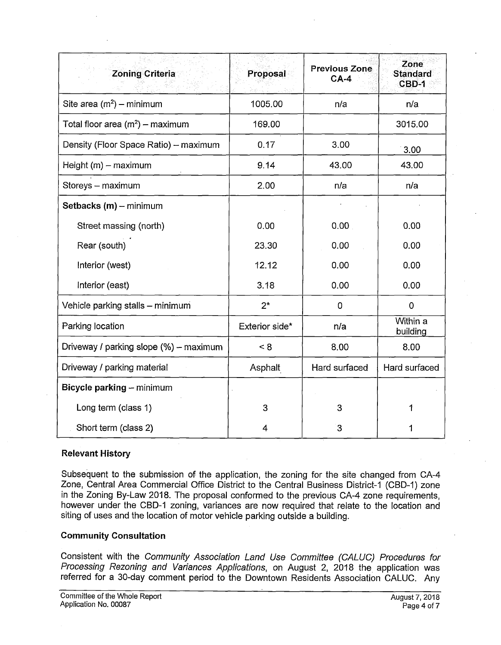| <b>Zoning Criteria</b>                 | Proposal       | <b>Previous Zone</b><br>$CA-4$ | Zone<br><b>Standard</b><br>CBD-1 |
|----------------------------------------|----------------|--------------------------------|----------------------------------|
| Site area $(m^2)$ – minimum            | 1005.00        | n/a                            | n/a                              |
| Total floor area $(m^2)$ – maximum     | 169.00         |                                | 3015.00                          |
| Density (Floor Space Ratio) - maximum  | 0.17           | 3.00                           | 3.00                             |
| Height $(m)$ – maximum                 | 9.14           | 43.00                          | 43.00                            |
| Storeys - maximum                      | 2.00           | n/a                            | n/a                              |
| Setbacks (m) - minimum                 |                |                                |                                  |
| Street massing (north)                 | 0.00           | 0.00                           | 0.00                             |
| Rear (south)                           | 23.30          | 0.00                           | 0.00                             |
| Interior (west)                        | 12.12          | 0.00                           | 0.00                             |
| Interior (east)                        | 3.18           | 0.00                           | 0.00                             |
| Vehicle parking stalls - minimum       | $2^{\star}$    | 0                              | $\mathbf 0$                      |
| Parking location                       | Exterior side* | n/a                            | Within a<br>building             |
| Driveway / parking slope (%) - maximum | < 8            | 8.00                           | 8.00                             |
| Driveway / parking material            | Asphalt        | Hard surfaced                  | Hard surfaced                    |
| Bicycle parking - minimum              |                |                                |                                  |
| Long term (class 1)                    | 3              | 3                              | 1                                |
| Short term (class 2)                   | 4              | 3                              |                                  |

# **Relevant History**

Subsequent to the submission of the application, the zoning for the site changed from CA-4 Zone, Central Area Commercial Office District to the Central Business District-1 (CBD-1) zone in the Zoning By-Law 2018. The proposal conformed to the previous CA-4 zone requirements, however under the CBD-1 zoning, variances are now required that relate to the location and siting of uses and the location of motor vehicle parking outside a building.

## **Community Consultation**

Consistent with the *Community Association Land Use Committee (CALUC) Procedures for Processing Rezoning and Variances Applications,* on August 2, 2018 the application was referred for a 30-day comment period to the Downtown Residents Association CALUC. Any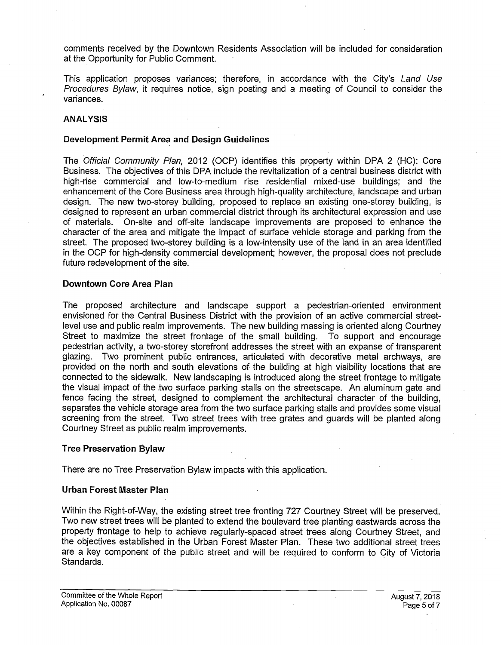comments received by the Downtown Residents Association will be included for consideration at the Opportunity for Public Comment.

This application proposes variances; therefore, in accordance with the City's *Land Use Procedures Bylaw,* it requires notice, sign posting and a meeting of Council to consider the variances.

### **ANALYSIS**

#### **Development Permit Area and Design Guidelines**

The *Official Community Plan,* 2012 (OCP) identifies this property within DPA 2 (HC): Core Business. The objectives of this DPA include the revitalization of a central business district with high-rise commercial and low-to-medium rise residential mixed-use buildings; and the enhancement of the Core Business area through high-quality architecture, landscape and urban design. The new two-storey building, proposed to replace an existing one-storey building, is designed to represent an urban commercial district through its architectural expression and use of materials. On-site and off-site landscape improvements are proposed to enhance the character of the area and mitigate the impact of surface vehicle storage and parking from the street. The proposed two-storey building is a low-intensity use of the land in an area identified in the OCP for high-density commercial development; however, the proposal does not preclude future redevelopment of the site.

### **Downtown Core Area Plan**

The proposed architecture and landscape support a pedestrian-oriented environment envisioned for the Central Business District with the provision of an active commercial streetlevel use and public realm improvements. The new building massing is oriented along Courtney Street to maximize the street frontage of the small building. To support and encourage pedestrian activity, a two-storey storefront addresses the street with an expanse of transparent glazing. Two prominent public entrances, articulated with decorative metal archways, are provided on the north and south elevations of the building at high visibility locations that are connected to the sidewalk. New landscaping is introduced along the street frontage to mitigate the visual impact of the two surface parking stalls on the streetscape. An aluminum gate and fence facing the street, designed to complement the architectural character of the building, separates the vehicle storage area from the two surface parking stalls and provides some visual screening from the street. Two street trees with tree grates and guards will be planted along Courtney Street as public realm improvements.

#### **Tree Preservation Bylaw**

There are no Tree Preservation Bylaw impacts with this application.

### **Urban Forest Master Plan**

Within the Right-of-Way, the existing street tree fronting 727 Courtney Street will be preserved. Two new street trees will be planted to extend the boulevard tree planting eastwards across the property frontage to help to achieve regularly-spaced street trees along Courtney Street, and the objectives established in the Urban Forest Master Plan. These two additional street trees are a key component of the public street and will be required to conform to City of Victoria Standards.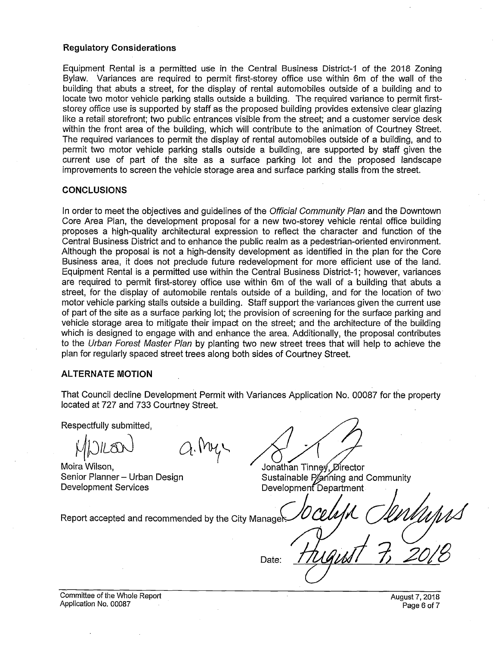### **Regulatory Considerations**

Equipment Rental is a permitted use in the Central Business District-1 of the 2018 Zoning Bylaw. Variances are required to permit first-storey office use within 6m of the wall of the building that abuts a street, for the display of rental automobiles outside of a building and to locate two motor vehicle parking stalls outside a building. The required variance to permit firststorey office use is supported by staff as the proposed building provides extensive clear glazing like a retail storefront; two public entrances visible from the street; and a customer service desk within the front area of the building, which will contribute to the animation of Courtney Street. The required variances to permit the display of rental automobiles outside of a building, and to permit two motor vehicle parking stalls outside a building, are supported by staff given the current use of part of the site as a surface parking lot and the proposed landscape improvements to screen the vehicle storage area and surface parking stalls from the street.

### **CONCLUSIONS**

In order to meet the objectives and guidelines of the *Official Community Plan* and the Downtown Core Area Plan, the development proposal for a new two-storey vehicle rental office building proposes a high-quality architectural expression to reflect the character and function of the Central Business District and to enhance the public realm as a pedestrian-oriented environment. Although the proposal is not a high-density development as identified in the plan for the Core Business area, it does not preclude future redevelopment for more efficient use of the land. Equipment Rental is a permitted use within the Central Business District-1; however, variances are required to permit first-storey office use within 6m of the wall of a building that abuts a street, for the display of automobile rentals outside of a building, and for the location of two motor vehicle parking stalls outside a building. Staff support the variances given the current use of part of the site as a surface parking lot; the provision of screening for the surface parking and vehicle storage area to mitigate their impact on the street; and the architecture of the building which is designed to engage with and enhance the area. Additionally, the proposal contributes to the *Urban Forest Master Plan* by planting two new street trees that will help to achieve the plan for regularly spaced street trees along both sides of Courtney Street.

### **ALTERNATE MOTION**

That Council decline Development Permit with Variances Application No. 00087 for the property located at 727 and 733 Courtney Street.

Date:

Respectfully submitted.

Moira Wilson. Senior Planner - Urban Design **Development Services** 

a.My

Jonathan Tinney, Director Sustainable Planning and Community Development Department

Report accepted and recommended by the City Manager

Committee of the Whole Report Application No. 00087